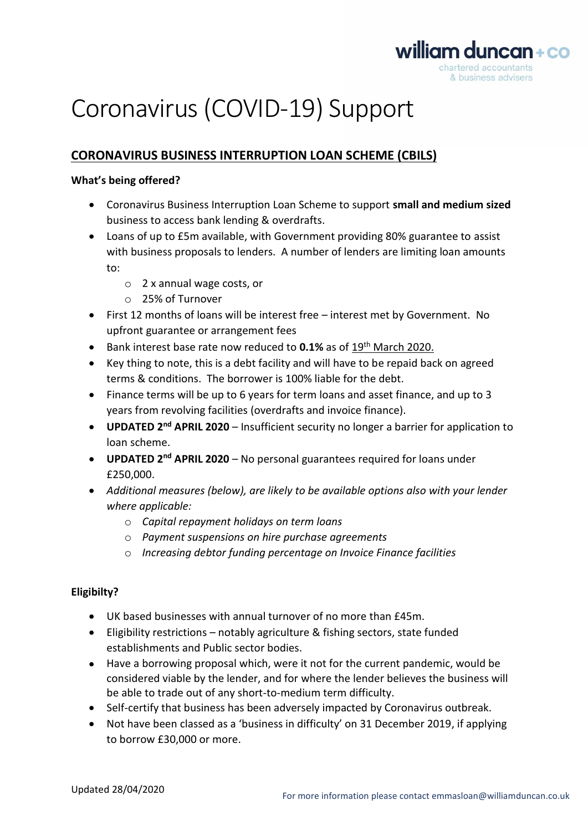

# Coronavirus (COVID-19) Support

### **CORONAVIRUS BUSINESS INTERRUPTION LOAN SCHEME (CBILS)**

#### **What's being offered?**

- Coronavirus Business Interruption Loan Scheme to support **small and medium sized** business to access bank lending & overdrafts.
- Loans of up to £5m available, with Government providing 80% guarantee to assist with business proposals to lenders. A number of lenders are limiting loan amounts to:
	- o 2 x annual wage costs, or
	- o 25% of Turnover
- First 12 months of loans will be interest free interest met by Government. No upfront guarantee or arrangement fees
- Bank interest base rate now reduced to **0.1%** as of 19th March 2020.
- Key thing to note, this is a debt facility and will have to be repaid back on agreed terms & conditions. The borrower is 100% liable for the debt.
- Finance terms will be up to 6 years for term loans and asset finance, and up to 3 years from revolving facilities (overdrafts and invoice finance).
- **UPDATED 2<sup>nd</sup> APRIL 2020** Insufficient security no longer a barrier for application to loan scheme.
- **UPDATED 2<sup>nd</sup> APRIL 2020** No personal guarantees required for loans under £250,000.
- *Additional measures (below), are likely to be available options also with your lender where applicable:*
	- o *Capital repayment holidays on term loans*
	- o *Payment suspensions on hire purchase agreements*
	- o *Increasing debtor funding percentage on Invoice Finance facilities*

### **Eligibilty?**

- UK based businesses with annual turnover of no more than £45m.
- Eligibility restrictions notably agriculture & fishing sectors, state funded establishments and Public sector bodies.
- Have a borrowing proposal which, were it not for the current pandemic, would be considered viable by the lender, and for where the lender believes the business will be able to trade out of any short-to-medium term difficulty.
- Self-certify that business has been adversely impacted by Coronavirus outbreak.
- Not have been classed as a 'business in difficulty' on 31 December 2019, if applying to borrow £30,000 or more.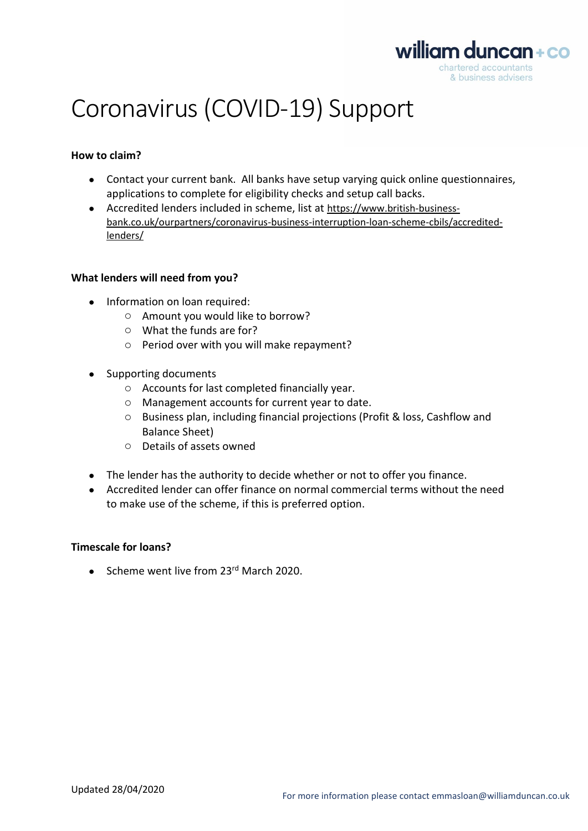

## Coronavirus (COVID-19) Support

#### **How to claim?**

- Contact your current bank. All banks have setup varying quick online questionnaires, applications to complete for eligibility checks and setup call backs.
- Accredited lenders included in scheme, list at [https://www.british-business](https://www.british-business-bank.co.uk/ourpartners/coronavirus-business-interruption-loan-scheme-cbils/accredited-lenders/)[bank.co.uk/ourpartners/coronavirus-business-interruption-loan-scheme-cbils/accredited](https://www.british-business-bank.co.uk/ourpartners/coronavirus-business-interruption-loan-scheme-cbils/accredited-lenders/)[lenders/](https://www.british-business-bank.co.uk/ourpartners/coronavirus-business-interruption-loan-scheme-cbils/accredited-lenders/)

#### **What lenders will need from you?**

- Information on loan required:
	- o Amount you would like to borrow?
	- o What the funds are for?
	- o Period over with you will make repayment?
- Supporting documents
	- o Accounts for last completed financially year.
	- o Management accounts for current year to date.
	- o Business plan, including financial projections (Profit & loss, Cashflow and Balance Sheet)
	- o Details of assets owned
- The lender has the authority to decide whether or not to offer you finance.
- Accredited lender can offer finance on normal commercial terms without the need to make use of the scheme, if this is preferred option.

#### **Timescale for loans?**

• Scheme went live from 23<sup>rd</sup> March 2020.